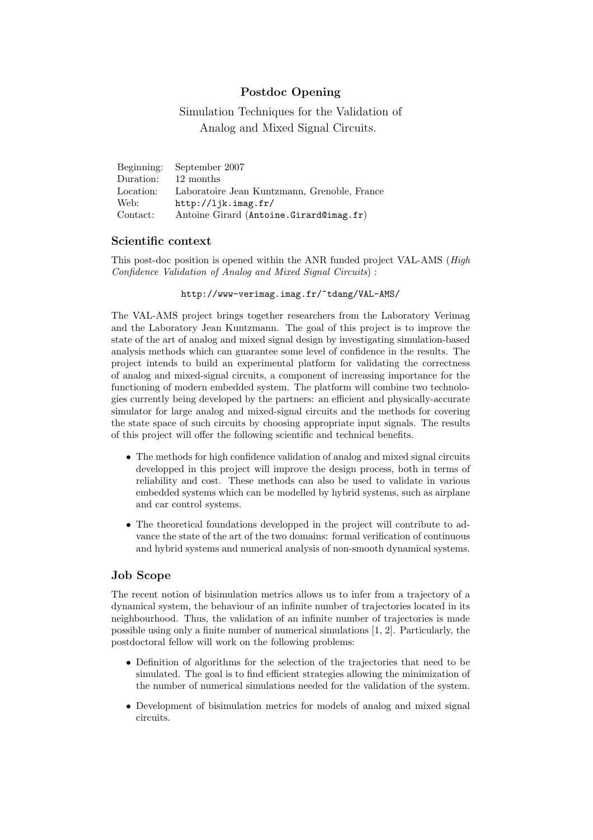# Postdoc Opening

Simulation Techniques for the Validation of Analog and Mixed Signal Circuits.

| Beginning: | September 2007                               |
|------------|----------------------------------------------|
| Duration:  | 12 months                                    |
| Location:  | Laboratoire Jean Kuntzmann, Grenoble, France |
| Web:       | http://ljk.inag.fr/                          |
| Contact:   | Antoine Girard (Antoine.Girard@imag.fr)      |

#### Scientific context

This post-doc position is opened within the ANR funded project VAL-AMS (*High*) Confidence Validation of Analog and Mixed Signal Circuits) :

http://www-verimag.imag.fr/~tdang/VAL-AMS/

The VAL-AMS project brings together researchers from the Laboratory Verimag and the Laboratory Jean Kuntzmann. The goal of this project is to improve the state of the art of analog and mixed signal design by investigating simulation-based analysis methods which can guarantee some level of confidence in the results. The project intends to build an experimental platform for validating the correctness of analog and mixed-signal circuits, a component of increasing importance for the functioning of modern embedded system. The platform will combine two technologies currently being developed by the partners: an efficient and physically-accurate simulator for large analog and mixed-signal circuits and the methods for covering the state space of such circuits by choosing appropriate input signals. The results of this project will offer the following scientific and technical benefits.

- The methods for high confidence validation of analog and mixed signal circuits developped in this project will improve the design process, both in terms of reliability and cost. These methods can also be used to validate in various embedded systems which can be modelled by hybrid systems, such as airplane and car control systems.
- The theoretical foundations developped in the project will contribute to advance the state of the art of the two domains: formal verification of continuous and hybrid systems and numerical analysis of non-smooth dynamical systems.

### Job Scope

The recent notion of bisimulation metrics allows us to infer from a trajectory of a dynamical system, the behaviour of an infinite number of trajectories located in its neighbourhood. Thus, the validation of an infinite number of trajectories is made possible using only a finite number of numerical simulations [1, 2]. Particularly, the postdoctoral fellow will work on the following problems:

- Definition of algorithms for the selection of the trajectories that need to be simulated. The goal is to find efficient strategies allowing the minimization of the number of numerical simulations needed for the validation of the system.
- Development of bisimulation metrics for models of analog and mixed signal circuits.